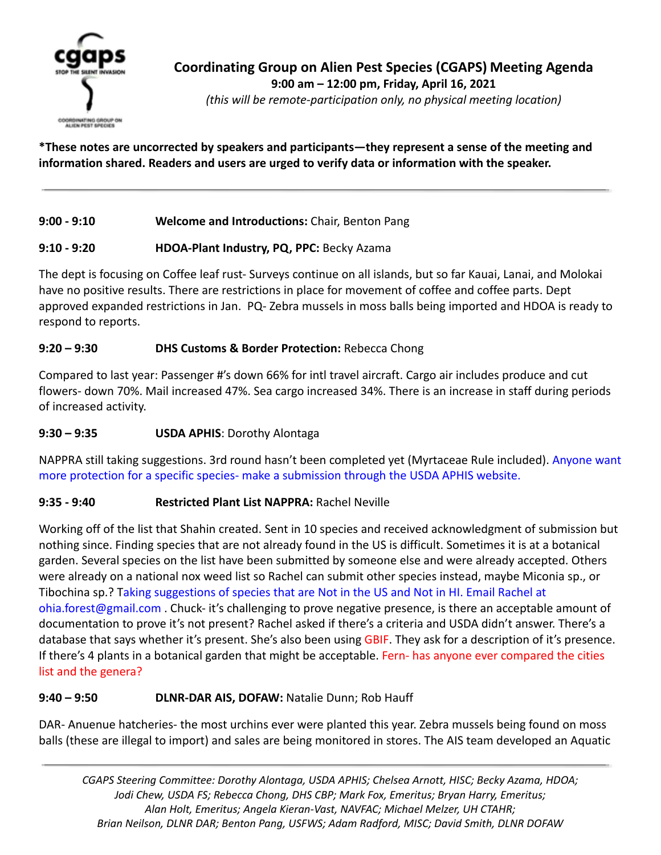

*(this will be remote-participation only, no physical meeting location)*

**\*These notes are uncorrected by speakers and participants—they represent a sense of the meeting and information shared. Readers and users are urged to verify data or information with the speaker.**

#### **9:00 - 9:10 Welcome and Introductions:** Chair, Benton Pang

## **9:10 - 9:20 HDOA-Plant Industry, PQ, PPC:** Becky Azama

The dept is focusing on Coffee leaf rust- Surveys continue on all islands, but so far Kauai, Lanai, and Molokai have no positive results. There are restrictions in place for movement of coffee and coffee parts. Dept approved expanded restrictions in Jan. PQ- Zebra mussels in moss balls being imported and HDOA is ready to respond to reports.

## **9:20 – 9:30 DHS Customs & Border Protection:** Rebecca Chong

Compared to last year: Passenger #'s down 66% for intl travel aircraft. Cargo air includes produce and cut flowers- down 70%. Mail increased 47%. Sea cargo increased 34%. There is an increase in staff during periods of increased activity.

#### **9:30 – 9:35 USDA APHIS**: Dorothy Alontaga

NAPPRA still taking suggestions. 3rd round hasn't been completed yet (Myrtaceae Rule included). Anyone want more protection for a specific species- make a submission through the USDA APHIS website.

## **9:35 - 9:40 Restricted Plant List NAPPRA:** Rachel Neville

Working off of the list that Shahin created. Sent in 10 species and received acknowledgment of submission but nothing since. Finding species that are not already found in the US is difficult. Sometimes it is at a botanical garden. Several species on the list have been submitted by someone else and were already accepted. Others were already on a national nox weed list so Rachel can submit other species instead, maybe Miconia sp., or Tibochina sp.? Taking suggestions of species that are Not in the US and Not in HI. Email Rachel at ohia.forest@gmail.com . Chuck- it's challenging to prove negative presence, is there an acceptable amount of documentation to prove it's not present? Rachel asked if there's a criteria and USDA didn't answer. There's a database that says whether it's present. She's also been using GBIF. They ask for a description of it's presence. If there's 4 plants in a botanical garden that might be acceptable. Fern- has anyone ever compared the cities list and the genera?

#### **9:40 – 9:50 DLNR-DAR AIS, DOFAW:** Natalie Dunn; Rob Hauff

DAR- Anuenue hatcheries- the most urchins ever were planted this year. Zebra mussels being found on moss balls (these are illegal to import) and sales are being monitored in stores. The AIS team developed an Aquatic

*CGAPS Steering Committee: Dorothy Alontaga, USDA APHIS; Chelsea Arnott, HISC; Becky Azama, HDOA; Jodi Chew, USDA FS; Rebecca Chong, DHS CBP; Mark Fox, Emeritus; Bryan Harry, Emeritus; Alan Holt, Emeritus; Angela Kieran-Vast, NAVFAC; Michael Melzer, UH CTAHR; Brian Neilson, DLNR DAR; Benton Pang, USFWS; Adam Radford, MISC; David Smith, DLNR DOFAW*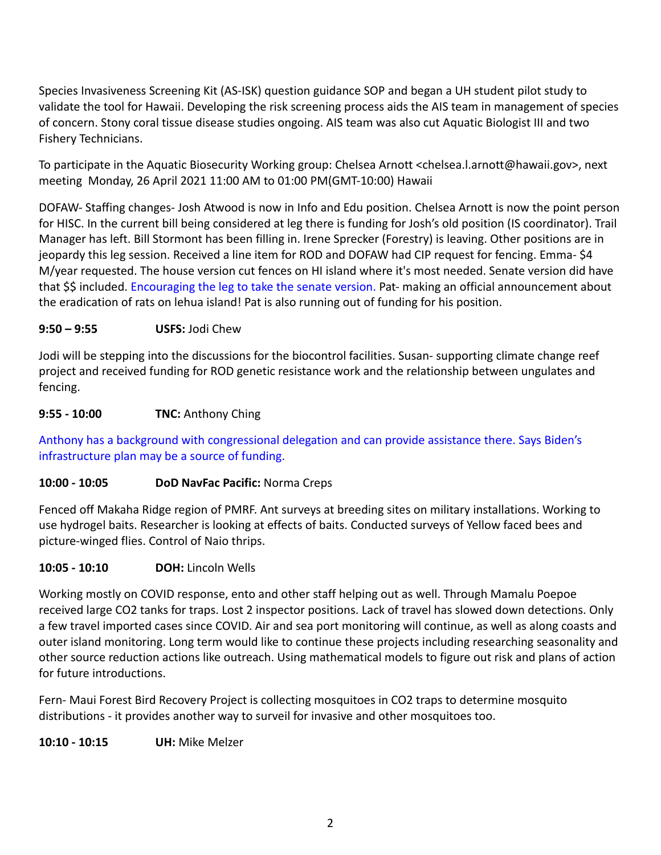Species Invasiveness Screening Kit (AS-ISK) question guidance SOP and began a UH student pilot study to validate the tool for Hawaii. Developing the risk screening process aids the AIS team in management of species of concern. Stony coral tissue disease studies ongoing. AIS team was also cut Aquatic Biologist III and two Fishery Technicians.

To participate in the Aquatic Biosecurity Working group: Chelsea Arnott <chelsea.l.arnott@hawaii.gov>, next meeting Monday, 26 April 2021 11:00 AM to 01:00 PM(GMT-10:00) Hawaii

DOFAW- Staffing changes- Josh Atwood is now in Info and Edu position. Chelsea Arnott is now the point person for HISC. In the current bill being considered at leg there is funding for Josh's old position (IS coordinator). Trail Manager has left. Bill Stormont has been filling in. Irene Sprecker (Forestry) is leaving. Other positions are in jeopardy this leg session. Received a line item for ROD and DOFAW had CIP request for fencing. Emma- \$4 M/year requested. The house version cut fences on HI island where it's most needed. Senate version did have that \$\$ included. Encouraging the leg to take the senate version. Pat- making an official announcement about the eradication of rats on lehua island! Pat is also running out of funding for his position.

#### **9:50 – 9:55 USFS:** Jodi Chew

Jodi will be stepping into the discussions for the biocontrol facilities. Susan- supporting climate change reef project and received funding for ROD genetic resistance work and the relationship between ungulates and fencing.

#### **9:55 - 10:00 TNC:** Anthony Ching

Anthony has a background with congressional delegation and can provide assistance there. Says Biden's infrastructure plan may be a source of funding.

## **10:00 - 10:05 DoD NavFac Pacific:** Norma Creps

Fenced off Makaha Ridge region of PMRF. Ant surveys at breeding sites on military installations. Working to use hydrogel baits. Researcher is looking at effects of baits. Conducted surveys of Yellow faced bees and picture-winged flies. Control of Naio thrips.

#### **10:05 - 10:10 DOH:** Lincoln Wells

Working mostly on COVID response, ento and other staff helping out as well. Through Mamalu Poepoe received large CO2 tanks for traps. Lost 2 inspector positions. Lack of travel has slowed down detections. Only a few travel imported cases since COVID. Air and sea port monitoring will continue, as well as along coasts and outer island monitoring. Long term would like to continue these projects including researching seasonality and other source reduction actions like outreach. Using mathematical models to figure out risk and plans of action for future introductions.

Fern- Maui Forest Bird Recovery Project is collecting mosquitoes in CO2 traps to determine mosquito distributions - it provides another way to surveil for invasive and other mosquitoes too.

**10:10 - 10:15 UH:** Mike Melzer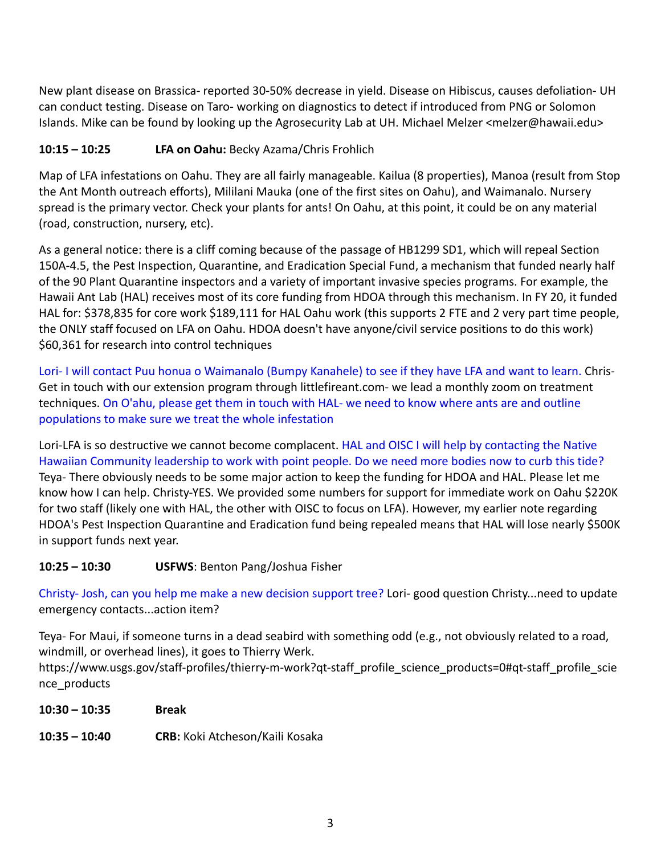New plant disease on Brassica- reported 30-50% decrease in yield. Disease on Hibiscus, causes defoliation- UH can conduct testing. Disease on Taro- working on diagnostics to detect if introduced from PNG or Solomon Islands. Mike can be found by looking up the Agrosecurity Lab at UH. Michael Melzer <melzer@hawaii.edu>

## **10:15 – 10:25 LFA on Oahu:** Becky Azama/Chris Frohlich

Map of LFA infestations on Oahu. They are all fairly manageable. Kailua (8 properties), Manoa (result from Stop the Ant Month outreach efforts), Mililani Mauka (one of the first sites on Oahu), and Waimanalo. Nursery spread is the primary vector. Check your plants for ants! On Oahu, at this point, it could be on any material (road, construction, nursery, etc).

As a general notice: there is a cliff coming because of the passage of HB1299 SD1, which will repeal Section 150A-4.5, the Pest Inspection, Quarantine, and Eradication Special Fund, a mechanism that funded nearly half of the 90 Plant Quarantine inspectors and a variety of important invasive species programs. For example, the Hawaii Ant Lab (HAL) receives most of its core funding from HDOA through this mechanism. In FY 20, it funded HAL for: \$378,835 for core work \$189,111 for HAL Oahu work (this supports 2 FTE and 2 very part time people, the ONLY staff focused on LFA on Oahu. HDOA doesn't have anyone/civil service positions to do this work) \$60,361 for research into control techniques

Lori- I will contact Puu honua o Waimanalo (Bumpy Kanahele) to see if they have LFA and want to learn. Chris-Get in touch with our extension program through littlefireant.com- we lead a monthly zoom on treatment techniques. On O'ahu, please get them in touch with HAL- we need to know where ants are and outline populations to make sure we treat the whole infestation

Lori-LFA is so destructive we cannot become complacent. HAL and OISC I will help by contacting the Native Hawaiian Community leadership to work with point people. Do we need more bodies now to curb this tide? Teya- There obviously needs to be some major action to keep the funding for HDOA and HAL. Please let me know how I can help. Christy-YES. We provided some numbers for support for immediate work on Oahu \$220K for two staff (likely one with HAL, the other with OISC to focus on LFA). However, my earlier note regarding HDOA's Pest Inspection Quarantine and Eradication fund being repealed means that HAL will lose nearly \$500K in support funds next year.

## **10:25 – 10:30 USFWS**: Benton Pang/Joshua Fisher

Christy- Josh, can you help me make a new decision support tree? Lori- good question Christy...need to update emergency contacts...action item?

Teya- For Maui, if someone turns in a dead seabird with something odd (e.g., not obviously related to a road, windmill, or overhead lines), it goes to Thierry Werk.

https://www.usgs.gov/staff-profiles/thierry-m-work?qt-staff\_profile\_science\_products=0#qt-staff\_profile\_scie nce\_products

- **10:30 10:35 Break**
- **10:35 10:40 CRB:** Koki Atcheson/Kaili Kosaka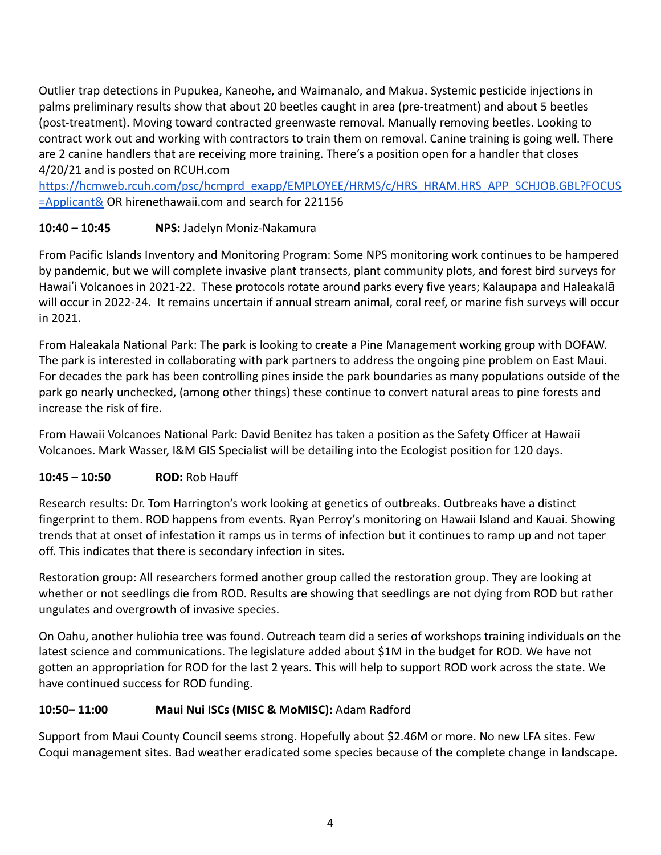Outlier trap detections in Pupukea, Kaneohe, and Waimanalo, and Makua. Systemic pesticide injections in palms preliminary results show that about 20 beetles caught in area (pre-treatment) and about 5 beetles (post-treatment). Moving toward contracted greenwaste removal. Manually removing beetles. Looking to contract work out and working with contractors to train them on removal. Canine training is going well. There are 2 canine handlers that are receiving more training. There's a position open for a handler that closes 4/20/21 and is posted on RCUH.com

[https://hcmweb.rcuh.com/psc/hcmprd\\_exapp/EMPLOYEE/HRMS/c/HRS\\_HRAM.HRS\\_APP\\_SCHJOB.GBL?FOCUS](https://hcmweb.rcuh.com/psc/hcmprd_exapp/EMPLOYEE/HRMS/c/HRS_HRAM.HRS_APP_SCHJOB.GBL?FOCUS=Applicant&) [=Applicant&](https://hcmweb.rcuh.com/psc/hcmprd_exapp/EMPLOYEE/HRMS/c/HRS_HRAM.HRS_APP_SCHJOB.GBL?FOCUS=Applicant&) OR hirenethawaii.com and search for 221156

## **10:40 – 10:45 NPS:** Jadelyn Moniz-Nakamura

From Pacific Islands Inventory and Monitoring Program: Some NPS monitoring work continues to be hampered by pandemic, but we will complete invasive plant transects, plant community plots, and forest bird surveys for Hawai'i Volcanoes in 2021-22. These protocols rotate around parks every five years; Kalaupapa and Haleakalā will occur in 2022-24. It remains uncertain if annual stream animal, coral reef, or marine fish surveys will occur in 2021.

From Haleakala National Park: The park is looking to create a Pine Management working group with DOFAW. The park is interested in collaborating with park partners to address the ongoing pine problem on East Maui. For decades the park has been controlling pines inside the park boundaries as many populations outside of the park go nearly unchecked, (among other things) these continue to convert natural areas to pine forests and increase the risk of fire.

From Hawaii Volcanoes National Park: David Benitez has taken a position as the Safety Officer at Hawaii Volcanoes. Mark Wasser, I&M GIS Specialist will be detailing into the Ecologist position for 120 days.

## **10:45 – 10:50 ROD:** Rob Hauff

Research results: Dr. Tom Harrington's work looking at genetics of outbreaks. Outbreaks have a distinct fingerprint to them. ROD happens from events. Ryan Perroy's monitoring on Hawaii Island and Kauai. Showing trends that at onset of infestation it ramps us in terms of infection but it continues to ramp up and not taper off. This indicates that there is secondary infection in sites.

Restoration group: All researchers formed another group called the restoration group. They are looking at whether or not seedlings die from ROD. Results are showing that seedlings are not dying from ROD but rather ungulates and overgrowth of invasive species.

On Oahu, another huliohia tree was found. Outreach team did a series of workshops training individuals on the latest science and communications. The legislature added about \$1M in the budget for ROD. We have not gotten an appropriation for ROD for the last 2 years. This will help to support ROD work across the state. We have continued success for ROD funding.

## **10:50– 11:00 Maui Nui ISCs (MISC & MoMISC):** Adam Radford

Support from Maui County Council seems strong. Hopefully about \$2.46M or more. No new LFA sites. Few Coqui management sites. Bad weather eradicated some species because of the complete change in landscape.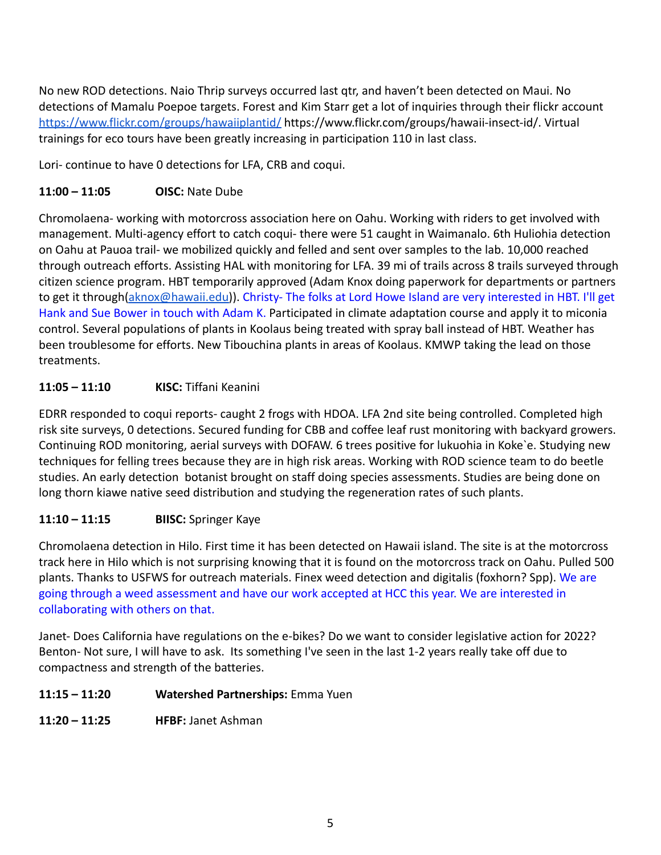No new ROD detections. Naio Thrip surveys occurred last qtr, and haven't been detected on Maui. No detections of Mamalu Poepoe targets. Forest and Kim Starr get a lot of inquiries through their flickr account <https://www.flickr.com/groups/hawaiiplantid/> https://www.flickr.com/groups/hawaii-insect-id/. Virtual trainings for eco tours have been greatly increasing in participation 110 in last class.

Lori- continue to have 0 detections for LFA, CRB and coqui.

#### **11:00 – 11:05 OISC:** Nate Dube

Chromolaena- working with motorcross association here on Oahu. Working with riders to get involved with management. Multi-agency effort to catch coqui- there were 51 caught in Waimanalo. 6th Huliohia detection on Oahu at Pauoa trail- we mobilized quickly and felled and sent over samples to the lab. 10,000 reached through outreach efforts. Assisting HAL with monitoring for LFA. 39 mi of trails across 8 trails surveyed through citizen science program. HBT temporarily approved (Adam Knox doing paperwork for departments or partners to get it through[\(aknox@hawaii.edu\)](mailto:aknox@hawaii.edu)). Christy- The folks at Lord Howe Island are very interested in HBT. I'll get Hank and Sue Bower in touch with Adam K. Participated in climate adaptation course and apply it to miconia control. Several populations of plants in Koolaus being treated with spray ball instead of HBT. Weather has been troublesome for efforts. New Tibouchina plants in areas of Koolaus. KMWP taking the lead on those treatments.

## **11:05 – 11:10 KISC:** Tiffani Keanini

EDRR responded to coqui reports- caught 2 frogs with HDOA. LFA 2nd site being controlled. Completed high risk site surveys, 0 detections. Secured funding for CBB and coffee leaf rust monitoring with backyard growers. Continuing ROD monitoring, aerial surveys with DOFAW. 6 trees positive for lukuohia in Koke`e. Studying new techniques for felling trees because they are in high risk areas. Working with ROD science team to do beetle studies. An early detection botanist brought on staff doing species assessments. Studies are being done on long thorn kiawe native seed distribution and studying the regeneration rates of such plants.

## **11:10 – 11:15 BIISC:** Springer Kaye

Chromolaena detection in Hilo. First time it has been detected on Hawaii island. The site is at the motorcross track here in Hilo which is not surprising knowing that it is found on the motorcross track on Oahu. Pulled 500 plants. Thanks to USFWS for outreach materials. Finex weed detection and digitalis (foxhorn? Spp). We are going through a weed assessment and have our work accepted at HCC this year. We are interested in collaborating with others on that.

Janet- Does California have regulations on the e-bikes? Do we want to consider legislative action for 2022? Benton- Not sure, I will have to ask. Its something I've seen in the last 1-2 years really take off due to compactness and strength of the batteries.

#### **11:15 – 11:20 Watershed Partnerships:** Emma Yuen

**11:20 – 11:25 HFBF:** Janet Ashman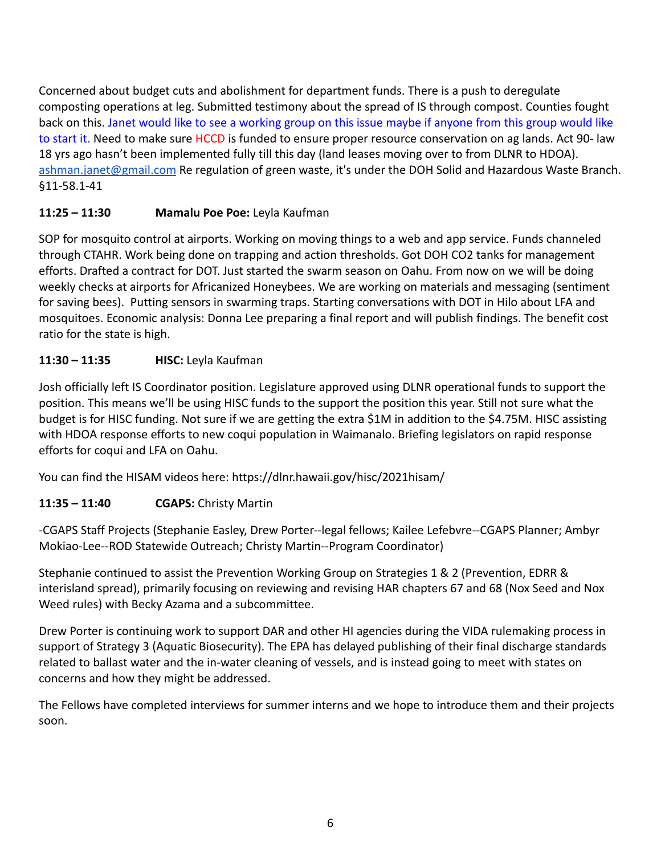Concerned about budget cuts and abolishment for department funds. There is a push to deregulate composting operations at leg. Submitted testimony about the spread of IS through compost. Counties fought back on this. Janet would like to see a working group on this issue maybe if anyone from this group would like to start it. Need to make sure HCCD is funded to ensure proper resource conservation on ag lands. Act 90- law 18 yrs ago hasn't been implemented fully till this day (land leases moving over to from DLNR to HDOA). [ashman.janet@gmail.com](mailto:ashman.janet@gmail.com) Re regulation of green waste, it's under the DOH Solid and Hazardous Waste Branch. §11-58.1-41

## **11:25 – 11:30 Mamalu Poe Poe:** Leyla Kaufman

SOP for mosquito control at airports. Working on moving things to a web and app service. Funds channeled through CTAHR. Work being done on trapping and action thresholds. Got DOH CO2 tanks for management efforts. Drafted a contract for DOT. Just started the swarm season on Oahu. From now on we will be doing weekly checks at airports for Africanized Honeybees. We are working on materials and messaging (sentiment for saving bees). Putting sensors in swarming traps. Starting conversations with DOT in Hilo about LFA and mosquitoes. Economic analysis: Donna Lee preparing a final report and will publish findings. The benefit cost ratio for the state is high.

## **11:30 – 11:35 HISC:** Leyla Kaufman

Josh officially left IS Coordinator position. Legislature approved using DLNR operational funds to support the position. This means we'll be using HISC funds to the support the position this year. Still not sure what the budget is for HISC funding. Not sure if we are getting the extra \$1M in addition to the \$4.75M. HISC assisting with HDOA response efforts to new coqui population in Waimanalo. Briefing legislators on rapid response efforts for coqui and LFA on Oahu.

You can find the HISAM videos here: https://dlnr.hawaii.gov/hisc/2021hisam/

# **11:35 – 11:40 CGAPS:** Christy Martin

-CGAPS Staff Projects (Stephanie Easley, Drew Porter--legal fellows; Kailee Lefebvre--CGAPS Planner; Ambyr Mokiao-Lee--ROD Statewide Outreach; Christy Martin--Program Coordinator)

Stephanie continued to assist the Prevention Working Group on Strategies 1 & 2 (Prevention, EDRR & interisland spread), primarily focusing on reviewing and revising HAR chapters 67 and 68 (Nox Seed and Nox Weed rules) with Becky Azama and a subcommittee.

Drew Porter is continuing work to support DAR and other HI agencies during the VIDA rulemaking process in support of Strategy 3 (Aquatic Biosecurity). The EPA has delayed publishing of their final discharge standards related to ballast water and the in-water cleaning of vessels, and is instead going to meet with states on concerns and how they might be addressed.

The Fellows have completed interviews for summer interns and we hope to introduce them and their projects soon.